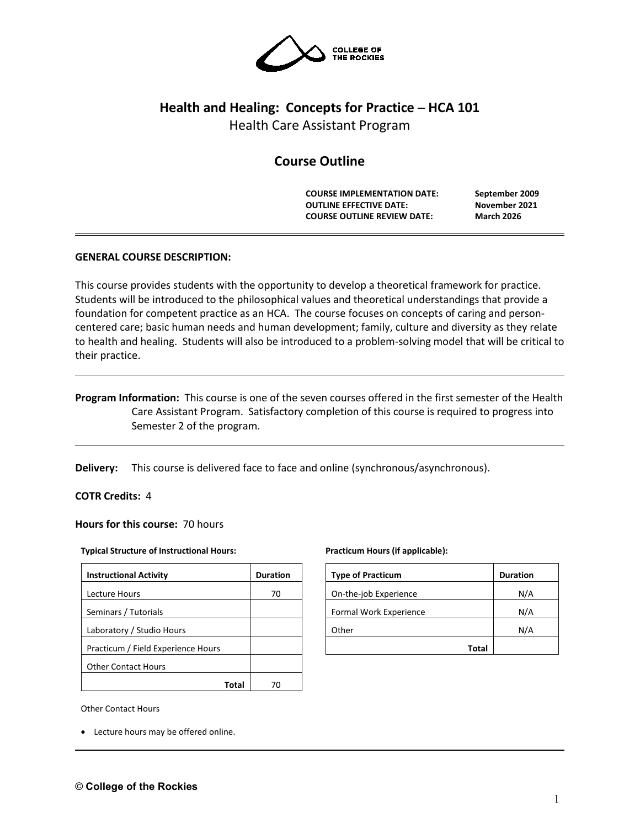

# **Health and Healing: Concepts for Practice ─ HCA 101**

Health Care Assistant Program

## **Course Outline**

**COURSE IMPLEMENTATION DATE: September 2009 OUTLINE EFFECTIVE DATE: November 2021 COURSE OUTLINE REVIEW DATE: March 2026**

## **GENERAL COURSE DESCRIPTION:**

This course provides students with the opportunity to develop a theoretical framework for practice. Students will be introduced to the philosophical values and theoretical understandings that provide a foundation for competent practice as an HCA. The course focuses on concepts of caring and personcentered care; basic human needs and human development; family, culture and diversity as they relate to health and healing. Students will also be introduced to a problem-solving model that will be critical to their practice.

**Program Information:** This course is one of the seven courses offered in the first semester of the Health Care Assistant Program. Satisfactory completion of this course is required to progress into Semester 2 of the program.

**Delivery:** This course is delivered face to face and online (synchronous/asynchronous).

**COTR Credits:** 4

**Hours for this course:** 70 hours

#### **Typical Structure of Instructional Hours:**

| <b>Instructional Activity</b>      | <b>Duration</b> |
|------------------------------------|-----------------|
| Lecture Hours                      | 70              |
| Seminars / Tutorials               |                 |
| Laboratory / Studio Hours          |                 |
| Practicum / Field Experience Hours |                 |
| <b>Other Contact Hours</b>         |                 |
| I O1                               |                 |

Other Contact Hours

• Lecture hours may be offered online.

#### **Practicum Hours (if applicable):**

| <b>Type of Practicum</b> | <b>Duration</b> |
|--------------------------|-----------------|
| On-the-job Experience    | N/A             |
| Formal Work Experience   | N/A             |
| Other                    | N/A             |
| <b>Total</b>             |                 |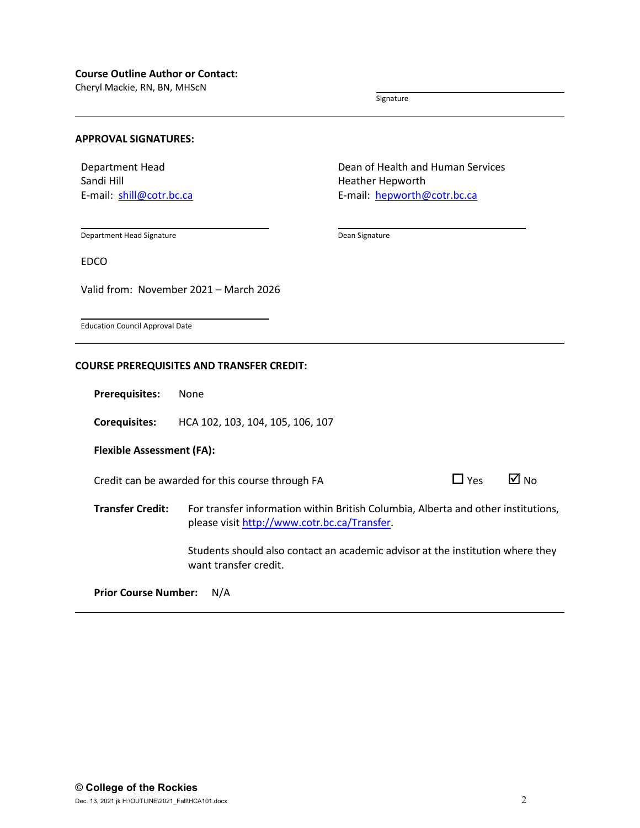#### **Course Outline Author or Contact:**

Cheryl Mackie, RN, BN, MHScN

Signature

#### **APPROVAL SIGNATURES:**

Department Head Sandi Hill E-mail: [shill@cotr.bc.ca](mailto:shill@cotr.bc.ca) Dean of Health and Human Services Heather Hepworth E-mail: [hepworth@cotr.bc.ca](mailto:hepworth@cotr.bc.ca)

Department Head Signature

Dean Signature

EDCO

Valid from: November 2021 – March 2026

Education Council Approval Date

#### **COURSE PREREQUISITES AND TRANSFER CREDIT:**

**Prerequisites:** None

**Corequisites:** HCA 102, 103, 104, 105, 106, 107

**Flexible Assessment (FA):**

Credit can be awarded for this course through FA  $\Box$  Yes  $\Box$  No

| Yes | ⋈ | N |
|-----|---|---|
|-----|---|---|

**Transfer Credit:** For transfer information within British Columbia, Alberta and other institutions, please visit [http://www.cotr.bc.ca/Transfer.](http://www.cotr.bc.ca/Transfer)

> Students should also contact an academic advisor at the institution where they want transfer credit.

**Prior Course Number:** N/A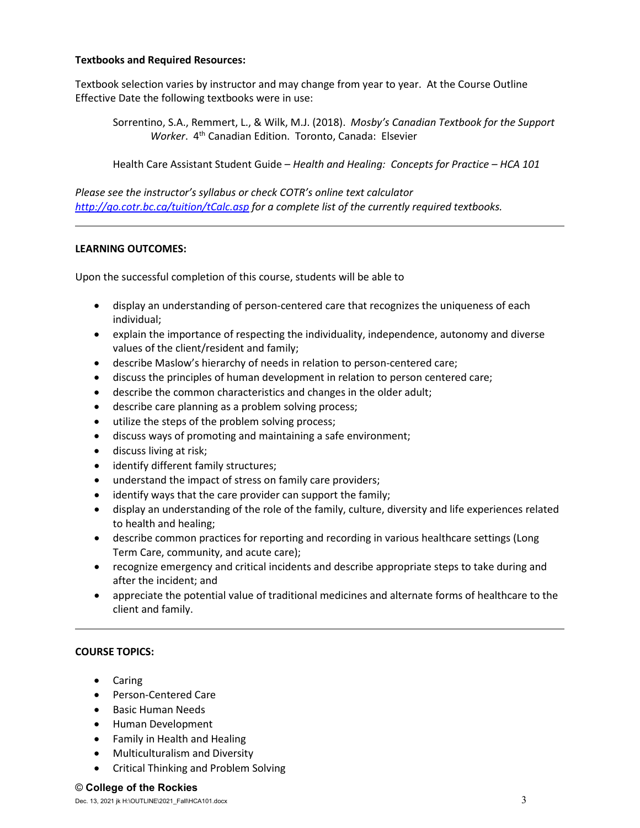### **Textbooks and Required Resources:**

Textbook selection varies by instructor and may change from year to year. At the Course Outline Effective Date the following textbooks were in use:

Sorrentino, S.A., Remmert, L., & Wilk, M.J. (2018). *Mosby's Canadian Textbook for the Support Worker*. 4th Canadian Edition. Toronto, Canada: Elsevier

Health Care Assistant Student Guide – *Health and Healing: Concepts for Practice – HCA 101*

*Please see the instructor's syllabus or check COTR's online text calculator <http://go.cotr.bc.ca/tuition/tCalc.asp> for a complete list of the currently required textbooks.*

#### **LEARNING OUTCOMES:**

Upon the successful completion of this course, students will be able to

- display an understanding of person-centered care that recognizes the uniqueness of each individual;
- explain the importance of respecting the individuality, independence, autonomy and diverse values of the client/resident and family;
- describe Maslow's hierarchy of needs in relation to person-centered care;
- discuss the principles of human development in relation to person centered care;
- describe the common characteristics and changes in the older adult;
- describe care planning as a problem solving process;
- utilize the steps of the problem solving process;
- discuss ways of promoting and maintaining a safe environment;
- discuss living at risk;
- identify different family structures;
- understand the impact of stress on family care providers;
- identify ways that the care provider can support the family;
- display an understanding of the role of the family, culture, diversity and life experiences related to health and healing;
- describe common practices for reporting and recording in various healthcare settings (Long Term Care, community, and acute care);
- recognize emergency and critical incidents and describe appropriate steps to take during and after the incident; and
- appreciate the potential value of traditional medicines and alternate forms of healthcare to the client and family.

#### **COURSE TOPICS:**

- Caring
- Person-Centered Care
- Basic Human Needs
- Human Development
- Family in Health and Healing
- Multiculturalism and Diversity
- Critical Thinking and Problem Solving

#### © **College of the Rockies**

Dec. 13, 2021 jk H:\OUTLINE\2021\_Fall\HCA101.docx 3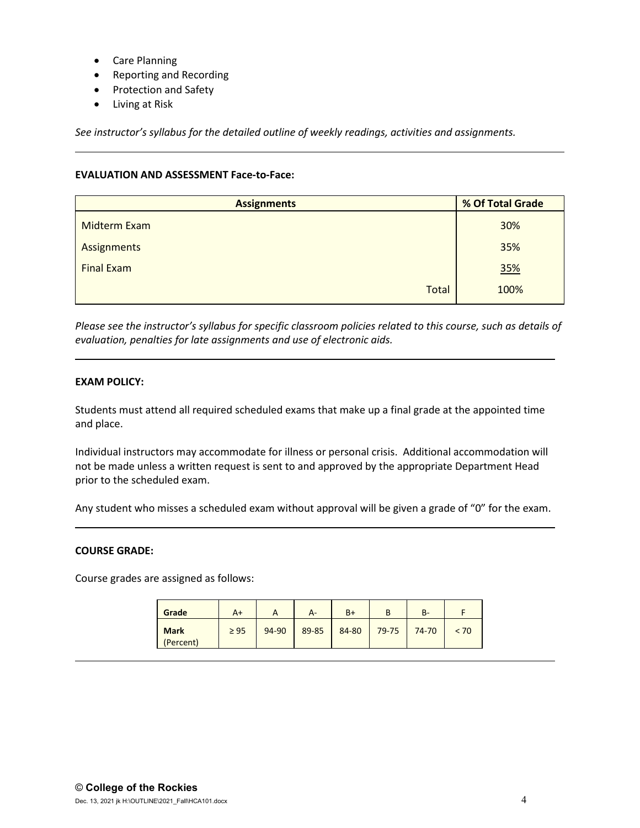- Care Planning
- Reporting and Recording
- Protection and Safety
- Living at Risk

*See instructor's syllabus for the detailed outline of weekly readings, activities and assignments.* 

## **EVALUATION AND ASSESSMENT Face-to-Face:**

| <b>Assignments</b>  | % Of Total Grade |  |  |
|---------------------|------------------|--|--|
| <b>Midterm Exam</b> | 30%              |  |  |
| Assignments         | 35%              |  |  |
| <b>Final Exam</b>   | 35%              |  |  |
| Total               | 100%             |  |  |

*Please see the instructor's syllabus for specific classroom policies related to this course, such as details of evaluation, penalties for late assignments and use of electronic aids.*

## **EXAM POLICY:**

Students must attend all required scheduled exams that make up a final grade at the appointed time and place.

Individual instructors may accommodate for illness or personal crisis. Additional accommodation will not be made unless a written request is sent to and approved by the appropriate Department Head prior to the scheduled exam.

Any student who misses a scheduled exam without approval will be given a grade of "0" for the exam.

#### **COURSE GRADE:**

Course grades are assigned as follows:

| Grade                    | $A+$      | <u>r</u> | А-    | $B+$  | D     | В-    |      |
|--------------------------|-----------|----------|-------|-------|-------|-------|------|
| <b>Mark</b><br>(Percent) | $\geq 95$ | 94-90    | 89-85 | 84-80 | 79-75 | 74-70 | < 70 |